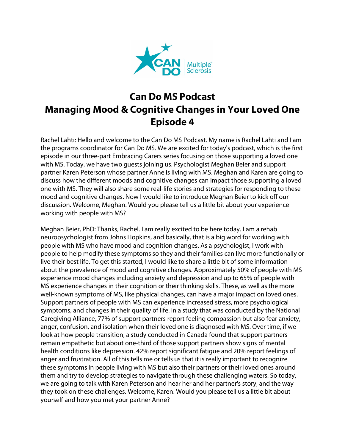

## **Can Do MS Podcast Managing Mood & Cognitive Changes in Your Loved One Episode 4**

Rachel Lahti: Hello and welcome to the Can Do MS Podcast. My name is Rachel Lahti and I am the programs coordinator for Can Do MS. We are excited for today's podcast, which is the first episode in our three-part Embracing Carers series focusing on those supporting a loved one with MS. Today, we have two guests joining us. Psychologist Meghan Beier and support partner Karen Peterson whose partner Anne is living with MS. Meghan and Karen are going to discuss how the different moods and cognitive changes can impact those supporting a loved one with MS. They will also share some real-life stories and strategies for responding to these mood and cognitive changes. Now I would like to introduce Meghan Beier to kick off our discussion. Welcome, Meghan. Would you please tell us a little bit about your experience working with people with MS?

Meghan Beier, PhD: Thanks, Rachel. I am really excited to be here today. I am a rehab neuropsychologist from Johns Hopkins, and basically, that is a big word for working with people with MS who have mood and cognition changes. As a psychologist, I work with people to help modify these symptoms so they and their families can live more functionally or live their best life. To get this started, I would like to share a little bit of some information about the prevalence of mood and cognitive changes. Approximately 50% of people with MS experience mood changes including anxiety and depression and up to 65% of people with MS experience changes in their cognition or their thinking skills. These, as well as the more well-known symptoms of MS, like physical changes, can have a major impact on loved ones. Support partners of people with MS can experience increased stress, more psychological symptoms, and changes in their quality of life. In a study that was conducted by the National Caregiving Alliance, 77% of support partners report feeling compassion but also fear anxiety, anger, confusion, and isolation when their loved one is diagnosed with MS. Over time, if we look at how people transition, a study conducted in Canada found that support partners remain empathetic but about one-third of those support partners show signs of mental health conditions like depression. 42% report significant fatigue and 20% report feelings of anger and frustration. All of this tells me or tells us that it is really important to recognize these symptoms in people living with MS but also their partners or their loved ones around them and try to develop strategies to navigate through these challenging waters. So today, we are going to talk with Karen Peterson and hear her and her partner's story, and the way they took on these challenges. Welcome, Karen. Would you please tell us a little bit about yourself and how you met your partner Anne?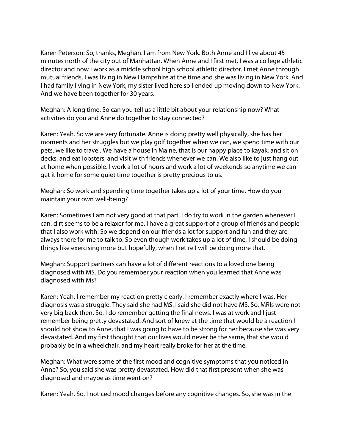Karen Peterson: So, thanks, Meghan. I am from New York. Both Anne and I live about 45 minutes north of the city out of Manhattan. When Anne and I first met, I was a college athletic director and now I work as a middle school high school athletic director. I met Anne through mutual friends. I was living in New Hampshire at the time and she was living in New York. And I had family living in New York, my sister lived here so I ended up moving down to New York. And we have been together for 30 years.

Meghan: A long time. So can you tell us a little bit about your relationship now? What activities do you and Anne do together to stay connected?

Karen: Yeah. So we are very fortunate. Anne is doing pretty well physically, she has her moments and her struggles but we play golf together when we can, we spend time with our pets, we like to travel. We have a house in Maine, that is our happy place to kayak, and sit on decks, and eat lobsters, and visit with friends whenever we can. We also like to just hang out at home when possible. I work a lot of hours and work a lot of weekends so anytime we can get it home for some quiet time together is pretty precious to us.

Meghan: So work and spending time together takes up a lot of your time. How do you maintain your own well-being?

Karen: Sometimes I am not very good at that part. I do try to work in the garden whenever I can, dirt seems to be a relaxer for me. I have a great support of a group of friends and people that I also work with. So we depend on our friends a lot for support and fun and they are always there for me to talk to. So even though work takes up a lot of time, I should be doing things like exercising more but hopefully, when I retire I will be doing more that.

Meghan: Support partners can have a lot of different reactions to a loved one being diagnosed with MS. Do you remember your reaction when you learned that Anne was diagnosed with Ms?

Karen: Yeah. I remember my reaction pretty clearly. I remember exactly where I was. Her diagnosis was a struggle. They said she had MS. I said she did not have MS. So, MRIs were not very big back then. So, I do remember getting the final news. I was at work and I just remember being pretty devastated. And sort of knew at the time that would be a reaction I should not show to Anne, that I was going to have to be strong for her because she was very devastated. And my first thought that our lives would never be the same, that she would probably be in a wheelchair, and my heart really broke for her at the time.

Meghan: What were some of the first mood and cognitive symptoms that you noticed in Anne? So, you said she was pretty devastated. How did that first present when she was diagnosed and maybe as time went on?

Karen: Yeah. So, I noticed mood changes before any cognitive changes. So, she was in the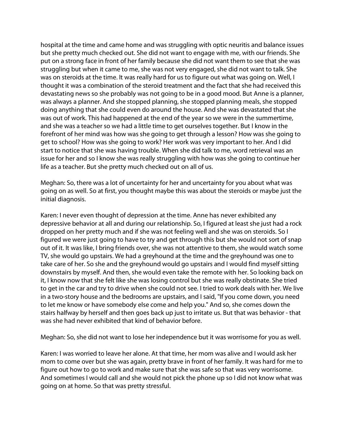hospital at the time and came home and was struggling with optic neuritis and balance issues but she pretty much checked out. She did not want to engage with me, with our friends. She put on a strong face in front of her family because she did not want them to see that she was struggling but when it came to me, she was not very engaged, she did not want to talk. She was on steroids at the time. It was really hard for us to figure out what was going on. Well, I thought it was a combination of the steroid treatment and the fact that she had received this devastating news so she probably was not going to be in a good mood. But Anne is a planner, was always a planner. And she stopped planning, she stopped planning meals, she stopped doing anything that she could even do around the house. And she was devastated that she was out of work. This had happened at the end of the year so we were in the summertime, and she was a teacher so we had a little time to get ourselves together. But I know in the forefront of her mind was how was she going to get through a lesson? How was she going to get to school? How was she going to work? Her work was very important to her. And I did start to notice that she was having trouble. When she did talk to me, word retrieval was an issue for her and so I know she was really struggling with how was she going to continue her life as a teacher. But she pretty much checked out on all of us.

Meghan: So, there was a lot of uncertainty for her and uncertainty for you about what was going on as well. So at first, you thought maybe this was about the steroids or maybe just the initial diagnosis.

Karen: I never even thought of depression at the time. Anne has never exhibited any depressive behavior at all and during our relationship. So, I figured at least she just had a rock dropped on her pretty much and if she was not feeling well and she was on steroids. So I figured we were just going to have to try and get through this but she would not sort of snap out of it. It was like, I bring friends over, she was not attentive to them, she would watch some TV, she would go upstairs. We had a greyhound at the time and the greyhound was one to take care of her. So she and the greyhound would go upstairs and I would find myself sitting downstairs by myself. And then, she would even take the remote with her. So looking back on it, I know now that she felt like she was losing control but she was really obstinate. She tried to get in the car and try to drive when she could not see. I tried to work deals with her. We live in a two-story house and the bedrooms are upstairs, and I said, "If you come down, you need to let me know or have somebody else come and help you." And so, she comes down the stairs halfway by herself and then goes back up just to irritate us. But that was behavior - that was she had never exhibited that kind of behavior before.

Meghan: So, she did not want to lose her independence but it was worrisome for you as well.

Karen: I was worried to leave her alone. At that time, her mom was alive and I would ask her mom to come over but she was again, pretty brave in front of her family. It was hard for me to figure out how to go to work and make sure that she was safe so that was very worrisome. And sometimes I would call and she would not pick the phone up so I did not know what was going on at home. So that was pretty stressful.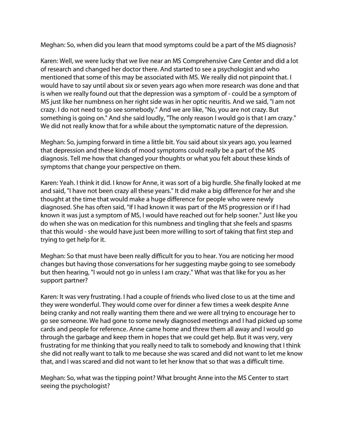Meghan: So, when did you learn that mood symptoms could be a part of the MS diagnosis?

Karen: Well, we were lucky that we live near an MS Comprehensive Care Center and did a lot of research and changed her doctor there. And started to see a psychologist and who mentioned that some of this may be associated with MS. We really did not pinpoint that. I would have to say until about six or seven years ago when more research was done and that is when we really found out that the depression was a symptom of - could be a symptom of MS just like her numbness on her right side was in her optic neuritis. And we said, "I am not crazy. I do not need to go see somebody." And we are like, "No, you are not crazy. But something is going on." And she said loudly, "The only reason I would go is that I am crazy." We did not really know that for a while about the symptomatic nature of the depression.

Meghan: So, jumping forward in time a little bit. You said about six years ago, you learned that depression and these kinds of mood symptoms could really be a part of the MS diagnosis. Tell me how that changed your thoughts or what you felt about these kinds of symptoms that change your perspective on them.

Karen: Yeah. I think it did. I know for Anne, it was sort of a big hurdle. She finally looked at me and said, "I have not been crazy all these years." It did make a big difference for her and she thought at the time that would make a huge difference for people who were newly diagnosed. She has often said, "If I had known it was part of the MS progression or if I had known it was just a symptom of MS, I would have reached out for help sooner." Just like you do when she was on medication for this numbness and tingling that she feels and spasms that this would - she would have just been more willing to sort of taking that first step and trying to get help for it.

Meghan: So that must have been really difficult for you to hear. You are noticing her mood changes but having those conversations for her suggesting maybe going to see somebody but then hearing, "I would not go in unless I am crazy." What was that like for you as her support partner?

Karen: It was very frustrating. I had a couple of friends who lived close to us at the time and they were wonderful. They would come over for dinner a few times a week despite Anne being cranky and not really wanting them there and we were all trying to encourage her to go see someone. We had gone to some newly diagnosed meetings and I had picked up some cards and people for reference. Anne came home and threw them all away and I would go through the garbage and keep them in hopes that we could get help. But it was very, very frustrating for me thinking that you really need to talk to somebody and knowing that I think she did not really want to talk to me because she was scared and did not want to let me know that, and I was scared and did not want to let her know that so that was a difficult time.

Meghan: So, what was the tipping point? What brought Anne into the MS Center to start seeing the psychologist?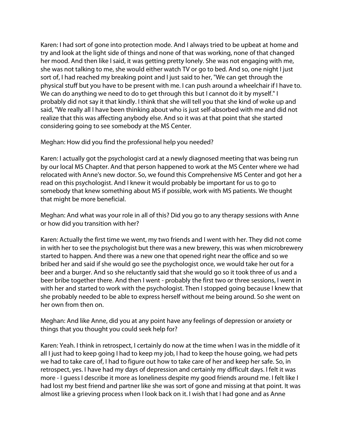Karen: I had sort of gone into protection mode. And I always tried to be upbeat at home and try and look at the light side of things and none of that was working, none of that changed her mood. And then like I said, it was getting pretty lonely. She was not engaging with me, she was not talking to me, she would either watch TV or go to bed. And so, one night I just sort of, I had reached my breaking point and I just said to her, "We can get through the physical stuff but you have to be present with me. I can push around a wheelchair if I have to. We can do anything we need to do to get through this but I cannot do it by myself." I probably did not say it that kindly. I think that she will tell you that she kind of woke up and said, "We really all I have been thinking about who is just self-absorbed with me and did not realize that this was affecting anybody else. And so it was at that point that she started considering going to see somebody at the MS Center.

Meghan: How did you find the professional help you needed?

Karen: I actually got the psychologist card at a newly diagnosed meeting that was being run by our local MS Chapter. And that person happened to work at the MS Center where we had relocated with Anne's new doctor. So, we found this Comprehensive MS Center and got her a read on this psychologist. And I knew it would probably be important for us to go to somebody that knew something about MS if possible, work with MS patients. We thought that might be more beneficial.

Meghan: And what was your role in all of this? Did you go to any therapy sessions with Anne or how did you transition with her?

Karen: Actually the first time we went, my two friends and I went with her. They did not come in with her to see the psychologist but there was a new brewery, this was when microbrewery started to happen. And there was a new one that opened right near the office and so we bribed her and said if she would go see the psychologist once, we would take her out for a beer and a burger. And so she reluctantly said that she would go so it took three of us and a beer bribe together there. And then I went - probably the first two or three sessions, I went in with her and started to work with the psychologist. Then I stopped going because I knew that she probably needed to be able to express herself without me being around. So she went on her own from then on.

Meghan: And like Anne, did you at any point have any feelings of depression or anxiety or things that you thought you could seek help for?

Karen: Yeah. I think in retrospect, I certainly do now at the time when I was in the middle of it all I just had to keep going I had to keep my job, I had to keep the house going, we had pets we had to take care of, I had to figure out how to take care of her and keep her safe. So, in retrospect, yes. I have had my days of depression and certainly my difficult days. I felt it was more - I guess I describe it more as loneliness despite my good friends around me. I felt like I had lost my best friend and partner like she was sort of gone and missing at that point. It was almost like a grieving process when I look back on it. I wish that I had gone and as Anne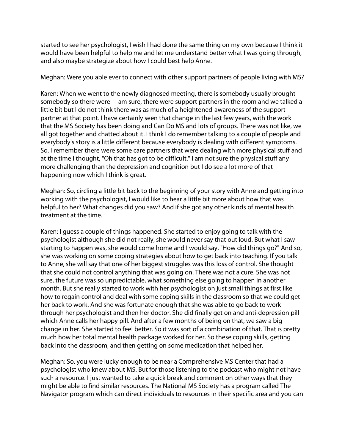started to see her psychologist, I wish I had done the same thing on my own because I think it would have been helpful to help me and let me understand better what I was going through, and also maybe strategize about how I could best help Anne.

Meghan: Were you able ever to connect with other support partners of people living with MS?

Karen: When we went to the newly diagnosed meeting, there is somebody usually brought somebody so there were - I am sure, there were support partners in the room and we talked a little bit but I do not think there was as much of a heightened-awareness of the support partner at that point. I have certainly seen that change in the last few years, with the work that the MS Society has been doing and Can Do MS and lots of groups. There was not like, we all got together and chatted about it. I think I do remember talking to a couple of people and everybody's story is a little different because everybody is dealing with different symptoms. So, I remember there were some care partners that were dealing with more physical stuff and at the time I thought, "Oh that has got to be difficult." I am not sure the physical stuff any more challenging than the depression and cognition but I do see a lot more of that happening now which I think is great.

Meghan: So, circling a little bit back to the beginning of your story with Anne and getting into working with the psychologist, I would like to hear a little bit more about how that was helpful to her? What changes did you saw? And if she got any other kinds of mental health treatment at the time.

Karen: I guess a couple of things happened. She started to enjoy going to talk with the psychologist although she did not really, she would never say that out loud. But what I saw starting to happen was, she would come home and I would say, "How did things go?" And so, she was working on some coping strategies about how to get back into teaching. If you talk to Anne, she will say that one of her biggest struggles was this loss of control. She thought that she could not control anything that was going on. There was not a cure. She was not sure, the future was so unpredictable, what something else going to happen in another month. But she really started to work with her psychologist on just small things at first like how to regain control and deal with some coping skills in the classroom so that we could get her back to work. And she was fortunate enough that she was able to go back to work through her psychologist and then her doctor. She did finally get on and anti-depression pill which Anne calls her happy pill. And after a few months of being on that, we saw a big change in her. She started to feel better. So it was sort of a combination of that. That is pretty much how her total mental health package worked for her. So these coping skills, getting back into the classroom, and then getting on some medication that helped her.

Meghan: So, you were lucky enough to be near a Comprehensive MS Center that had a psychologist who knew about MS. But for those listening to the podcast who might not have such a resource. I just wanted to take a quick break and comment on other ways that they might be able to find similar resources. The National MS Society has a program called The Navigator program which can direct individuals to resources in their specific area and you can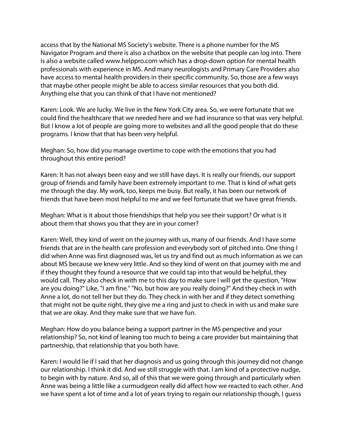access that by the National MS Society's website. There is a phone number for the MS Navigator Program and there is also a chatbox on the website that people can log into. There is also a website called www.helppro.com which has a drop-down option for mental health professionals with experience in MS. And many neurologists and Primary Care Providers also have access to mental health providers in their specific community. So, those are a few ways that maybe other people might be able to access similar resources that you both did. Anything else that you can think of that I have not mentioned?

Karen: Look. We are lucky. We live in the New York City area. So, we were fortunate that we could find the healthcare that we needed here and we had insurance so that was very helpful. But I know a lot of people are going more to websites and all the good people that do these programs. I know that that has been very helpful.

Meghan: So, how did you manage overtime to cope with the emotions that you had throughout this entire period?

Karen: It has not always been easy and we still have days. It is really our friends, our support group of friends and family have been extremely important to me. That is kind of what gets me through the day. My work, too, keeps me busy. But really, it has been our network of friends that have been most helpful to me and we feel fortunate that we have great friends.

Meghan: What is it about those friendships that help you see their support? Or what is it about them that shows you that they are in your corner?

Karen: Well, they kind of went on the journey with us, many of our friends. And I have some friends that are in the health care profession and everybody sort of pitched into. One thing I did when Anne was first diagnosed was, let us try and find out as much information as we can about MS because we knew very little. And so they kind of went on that journey with me and if they thought they found a resource that we could tap into that would be helpful, they would call. They also check in with me to this day to make sure I will get the question, "How are you doing?" Like, "I am fine." "No, but how are you really doing?" And they check in with Anne a lot, do not tell her but they do. They check in with her and if they detect something that might not be quite right, they give me a ring and just to check in with us and make sure that we are okay. And they make sure that we have fun.

Meghan: How do you balance being a support partner in the MS perspective and your relationship? So, not kind of leaning too much to being a care provider but maintaining that partnership, that relationship that you both have.

Karen: I would lie if I said that her diagnosis and us going through this journey did not change our relationship. I think it did. And we still struggle with that. I am kind of a protective nudge, to begin with by nature. And so, all of this that we were going through and particularly when Anne was being a little like a curmudgeon really did affect how we reacted to each other. And we have spent a lot of time and a lot of years trying to regain our relationship though, I guess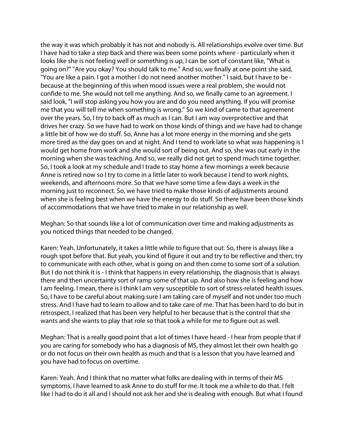the way it was which probably it has not and nobody is. All relationships evolve over time. But I have had to take a step back and there was been some points where - particularly when it looks like she is not feeling well or something is up, I can be sort of constant like, "What is going on?" "Are you okay? You should talk to me." And so, we finally at one point she said, "You are like a pain. I got a mother I do not need another mother." I said, but I have to be because at the beginning of this when mood issues were a real problem, she would not confide to me. She would not tell me anything. And so, we finally came to an agreement. I said look, "I will stop asking you how you are and do you need anything. If you will promise me that you will tell me when something is wrong." So we kind of came to that agreement over the years. So, I try to back off as much as I can. But I am way overprotective and that drives her crazy. So we have had to work on those kinds of things and we have had to change a little bit of how we do stuff. So, Anne has a lot more energy in the morning and she gets more tired as the day goes on and at night. And I tend to work late so what was happening is I would get home from work and she would sort of being out. And so, she was out early in the morning when she was teaching. And so, we really did not get to spend much time together. So, I took a look at my schedule and I trade to stay home a few mornings a week because Anne is retired now so I try to come in a little later to work because I tend to work nights, weekends, and afternoons more. So that we have some time a few days a week in the morning just to reconnect. So, we have tried to make those kinds of adjustments around when she is feeling best when we have the energy to do stuff. So there have been those kinds of accommodations that we have tried to make in our relationship as well.

Meghan: So that sounds like a lot of communication over time and making adjustments as you noticed things that needed to be changed.

Karen: Yeah. Unfortunately, it takes a little while to figure that out. So, there is always like a rough spot before that. But yeah, you kind of figure it out and try to be reflective and then, try to communicate with each other, what is going on and then come to some sort of a solution. But I do not think it is - I think that happens in every relationship, the diagnosis that is always there and then uncertainty sort of ramp some of that up. And also how she is feeling and how I am feeling. I mean, there is I think I am very susceptible to sort of stress-related health issues. So, I have to be careful about making sure I am taking care of myself and not under too much stress. And I have had to learn to allow and to take care of me. That has been hard to do but in retrospect, I realized that has been very helpful to her because that is the control that she wants and she wants to play that role so that took a while for me to figure out as well.

Meghan: That is a really good point that a lot of times I have heard - I hear from people that if you are caring for somebody who has a diagnosis of MS, they almost let their own health go or do not focus on their own health as much and that is a lesson that you have learned and you have had to focus on overtime.

Karen: Yeah. And I think that no matter what folks are dealing with in terms of their MS symptoms, I have learned to ask Anne to do stuff for me. It took me a while to do that. I felt like I had to do it all and I should not ask her and she is dealing with enough. But what I found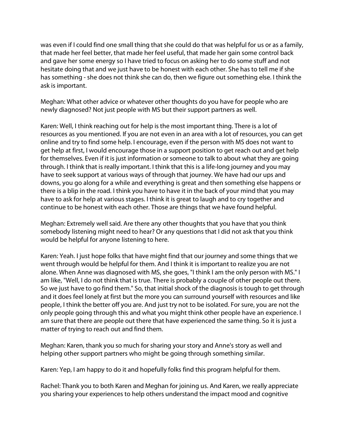was even if I could find one small thing that she could do that was helpful for us or as a family, that made her feel better, that made her feel useful, that made her gain some control back and gave her some energy so I have tried to focus on asking her to do some stuff and not hesitate doing that and we just have to be honest with each other. She has to tell me if she has something - she does not think she can do, then we figure out something else. I think the ask is important.

Meghan: What other advice or whatever other thoughts do you have for people who are newly diagnosed? Not just people with MS but their support partners as well.

Karen: Well, I think reaching out for help is the most important thing. There is a lot of resources as you mentioned. If you are not even in an area with a lot of resources, you can get online and try to find some help. I encourage, even if the person with MS does not want to get help at first, I would encourage those in a support position to get reach out and get help for themselves. Even if it is just information or someone to talk to about what they are going through. I think that is really important. I think that this is a life-long journey and you may have to seek support at various ways of through that journey. We have had our ups and downs, you go along for a while and everything is great and then something else happens or there is a blip in the road. I think you have to have it in the back of your mind that you may have to ask for help at various stages. I think it is great to laugh and to cry together and continue to be honest with each other. Those are things that we have found helpful.

Meghan: Extremely well said. Are there any other thoughts that you have that you think somebody listening might need to hear? Or any questions that I did not ask that you think would be helpful for anyone listening to here.

Karen: Yeah. I just hope folks that have might find that our journey and some things that we went through would be helpful for them. And I think it is important to realize you are not alone. When Anne was diagnosed with MS, she goes, "I think I am the only person with MS." I am like, "Well, I do not think that is true. There is probably a couple of other people out there. So we just have to go find them." So, that initial shock of the diagnosis is tough to get through and it does feel lonely at first but the more you can surround yourself with resources and like people, I think the better off you are. And just try not to be isolated. For sure, you are not the only people going through this and what you might think other people have an experience. I am sure that there are people out there that have experienced the same thing. So it is just a matter of trying to reach out and find them.

Meghan: Karen, thank you so much for sharing your story and Anne's story as well and helping other support partners who might be going through something similar.

Karen: Yep, I am happy to do it and hopefully folks find this program helpful for them.

Rachel: Thank you to both Karen and Meghan for joining us. And Karen, we really appreciate you sharing your experiences to help others understand the impact mood and cognitive